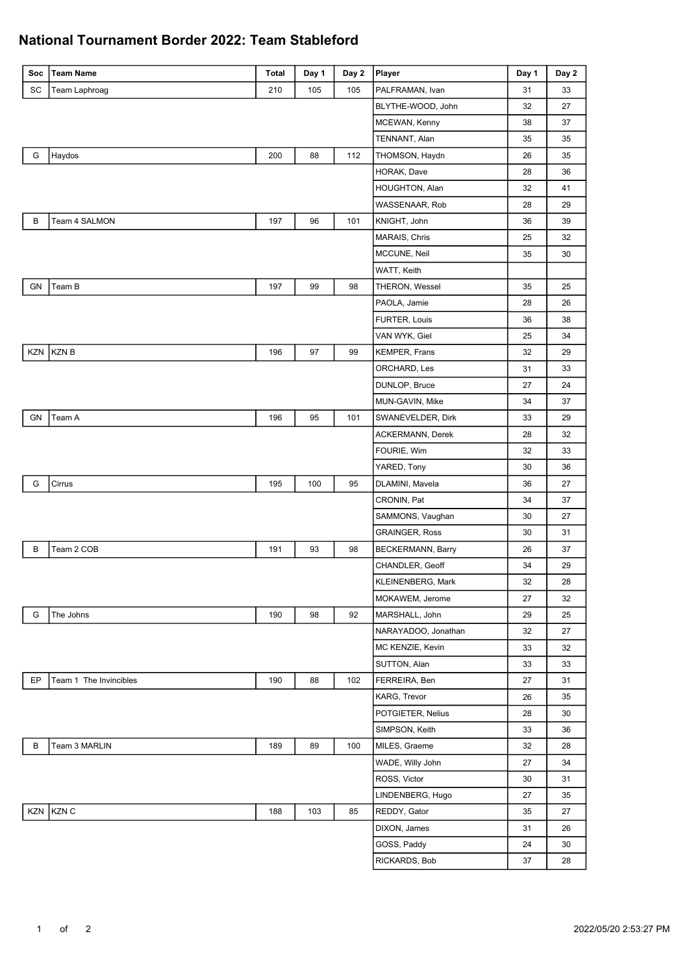## **National Tournament Border 2022: Team Stableford**

| Soc          | <b>Team Name</b>       | Total | Day 1 | Day 2 | Player                   | Day 1 | Day 2 |
|--------------|------------------------|-------|-------|-------|--------------------------|-------|-------|
| SC           | Team Laphroag          | 210   | 105   | 105   | PALFRAMAN, Ivan          | 31    | 33    |
|              |                        |       |       |       | BLYTHE-WOOD, John        | 32    | 27    |
|              |                        |       |       |       | MCEWAN, Kenny            | 38    | 37    |
|              |                        |       |       |       | TENNANT, Alan            | 35    | 35    |
| G            | Haydos                 | 200   | 88    | 112   | THOMSON, Haydn           | 26    | 35    |
|              |                        |       |       |       | HORAK, Dave              | 28    | 36    |
|              |                        |       |       |       | HOUGHTON, Alan           | 32    | 41    |
|              |                        |       |       |       | WASSENAAR, Rob           | 28    | 29    |
| $\, {\bf B}$ | Team 4 SALMON          | 197   | 96    | 101   | KNIGHT, John             | 36    | 39    |
|              |                        |       |       |       | MARAIS, Chris            | 25    | 32    |
|              |                        |       |       |       | MCCUNE, Neil             | 35    | 30    |
|              |                        |       |       |       | WATT, Keith              |       |       |
| GN           | Team B                 | 197   | 99    | 98    | THERON, Wessel           | 35    | 25    |
|              |                        |       |       |       | PAOLA, Jamie             | 28    | 26    |
|              |                        |       |       |       | FURTER, Louis            | 36    | 38    |
|              |                        |       |       |       | VAN WYK, Giel            | 25    | 34    |
| KZN          | <b>KZNB</b>            | 196   | 97    | 99    | KEMPER, Frans            | 32    | 29    |
|              |                        |       |       |       | ORCHARD, Les             | 31    | 33    |
|              |                        |       |       |       | DUNLOP, Bruce            | 27    | 24    |
|              |                        |       |       |       | MUN-GAVIN, Mike          | 34    | 37    |
| GN           | Team A                 | 196   | 95    | 101   | SWANEVELDER, Dirk        | 33    | 29    |
|              |                        |       |       |       | ACKERMANN, Derek         | 28    | 32    |
|              |                        |       |       |       | FOURIE, Wim              | 32    | 33    |
|              |                        |       |       |       | YARED, Tony              | 30    | 36    |
| G            | Cirrus                 | 195   | 100   | 95    | DLAMINI, Mavela          | 36    | 27    |
|              |                        |       |       |       | CRONIN, Pat              | 34    | 37    |
|              |                        |       |       |       | SAMMONS, Vaughan         | 30    | 27    |
|              |                        |       |       |       | <b>GRAINGER, Ross</b>    | 30    | 31    |
| В            | Team 2 COB             | 191   | 93    | 98    | <b>BECKERMANN, Barry</b> | 26    | 37    |
|              |                        |       |       |       | CHANDLER, Geoff          | 34    | 29    |
|              |                        |       |       |       | KLEINENBERG, Mark        | 32    | 28    |
|              |                        |       |       |       | MOKAWEM, Jerome          | 27    | 32    |
| G            | The Johns              | 190   | 98    | 92    | MARSHALL, John           | 29    | 25    |
|              |                        |       |       |       | NARAYADOO, Jonathan      | 32    | 27    |
|              |                        |       |       |       | MC KENZIE, Kevin         | 33    | 32    |
|              |                        |       |       |       | SUTTON, Alan             | 33    | 33    |
| EP           | Team 1 The Invincibles | 190   | 88    | 102   | FERREIRA, Ben            | 27    | 31    |
|              |                        |       |       |       | KARG, Trevor             | 26    | 35    |
|              |                        |       |       |       | POTGIETER, Nelius        | 28    | 30    |
|              |                        |       |       |       | SIMPSON, Keith           | 33    | 36    |
| В            | Team 3 MARLIN          | 189   | 89    | 100   | MILES, Graeme            | 32    | 28    |
|              |                        |       |       |       | WADE, Willy John         | 27    | 34    |
|              |                        |       |       |       | ROSS, Victor             | 30    | 31    |
|              |                        |       |       |       | LINDENBERG, Hugo         | 27    | 35    |
|              | KZN KZN C              | 188   | 103   | 85    | REDDY, Gator             | 35    | 27    |
|              |                        |       |       |       | DIXON, James             | 31    | 26    |
|              |                        |       |       |       | GOSS, Paddy              | 24    | 30    |
|              |                        |       |       |       | RICKARDS, Bob            | 37    | 28    |